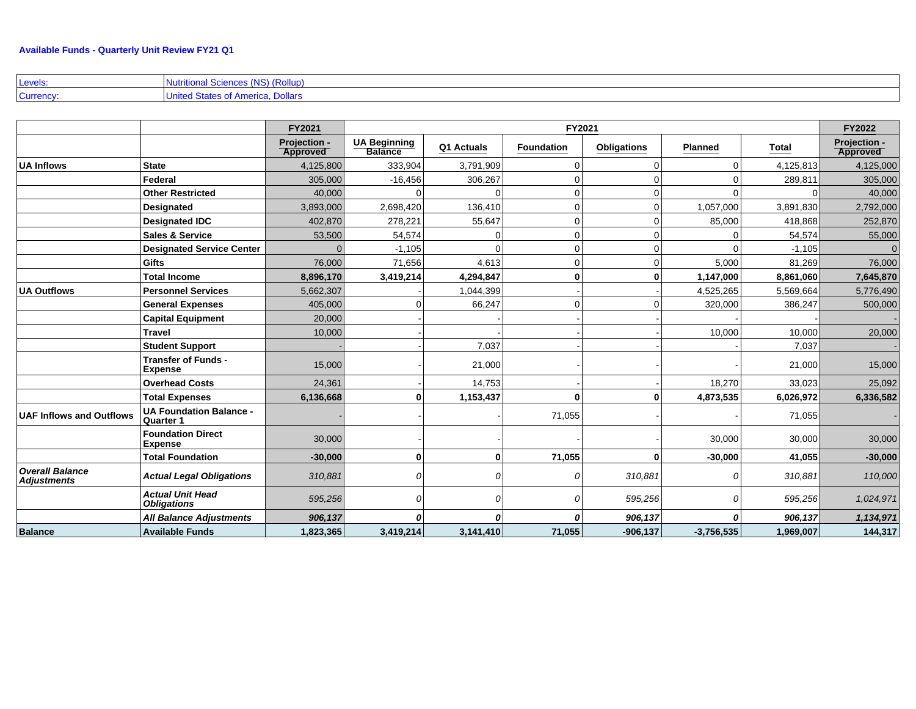| Levels:   | Nutritional Sciences (NS) (Rollup) |
|-----------|------------------------------------|
| Currency: | United States of America, Dollars  |

|                                              |                                                    | FY2021                          | FY2021                                |            |                   |                    |                | <b>FY2022</b> |                          |
|----------------------------------------------|----------------------------------------------------|---------------------------------|---------------------------------------|------------|-------------------|--------------------|----------------|---------------|--------------------------|
|                                              |                                                    | <b>Projection -</b><br>Approved | <b>UA Beginning</b><br><b>Balance</b> | Q1 Actuals | <b>Foundation</b> | <b>Obligations</b> | <b>Planned</b> | <b>Total</b>  | Projection -<br>Approved |
| <b>UA Inflows</b>                            | <b>State</b>                                       | 4,125,800                       | 333,904                               | 3,791,909  | 0                 | $\overline{0}$     |                | 4,125,813     | 4,125,000                |
|                                              | Federal                                            | 305,000                         | $-16,456$                             | 306,267    | $\Omega$          | $\Omega$           |                | 289,811       | 305,000                  |
|                                              | <b>Other Restricted</b>                            | 40,000                          |                                       |            | $\Omega$          | $\overline{0}$     |                |               | 40,000                   |
|                                              | <b>Designated</b>                                  | 3,893,000                       | 2,698,420                             | 136,410    | $\Omega$          | $\overline{0}$     | 1,057,000      | 3,891,830     | 2,792,000                |
|                                              | <b>Designated IDC</b>                              | 402,870                         | 278,221                               | 55,647     | $\Omega$          | $\overline{0}$     | 85,000         | 418,868       | 252,870                  |
|                                              | <b>Sales &amp; Service</b>                         | 53,500                          | 54,574                                |            | $\Omega$          | $\overline{0}$     |                | 54,574        | 55,000                   |
|                                              | <b>Designated Service Center</b>                   |                                 | $-1,105$                              |            | $\Omega$          | $\overline{0}$     |                | $-1,105$      | $\Omega$                 |
|                                              | <b>Gifts</b>                                       | 76,000                          | 71,656                                | 4,613      | $\Omega$          | 0                  | 5,000          | 81,269        | 76,000                   |
|                                              | <b>Total Income</b>                                | 8,896,170                       | 3,419,214                             | 4,294,847  | $\bf{0}$          | $\mathbf{0}$       | 1,147,000      | 8,861,060     | 7,645,870                |
| <b>UA Outflows</b>                           | <b>Personnel Services</b>                          | 5,662,307                       |                                       | 1,044,399  |                   |                    | 4,525,265      | 5,569,664     | 5,776,490                |
|                                              | <b>General Expenses</b>                            | 405.000                         |                                       | 66,247     | $\Omega$          | $\Omega$           | 320,000        | 386,247       | 500,000                  |
|                                              | <b>Capital Equipment</b>                           | 20,000                          |                                       |            |                   |                    |                |               |                          |
|                                              | <b>Travel</b>                                      | 10,000                          |                                       |            |                   |                    | 10,000         | 10,000        | 20,000                   |
|                                              | <b>Student Support</b>                             |                                 |                                       | 7,037      |                   |                    |                | 7,037         |                          |
|                                              | <b>Transfer of Funds -</b><br><b>Expense</b>       | 15,000                          |                                       | 21,000     |                   |                    |                | 21,000        | 15,000                   |
|                                              | <b>Overhead Costs</b>                              | 24,361                          |                                       | 14,753     |                   |                    | 18,270         | 33,023        | 25,092                   |
|                                              | <b>Total Expenses</b>                              | 6,136,668                       | $\bf{0}$                              | 1,153,437  | $\bf{0}$          | $\mathbf{0}$       | 4,873,535      | 6,026,972     | 6,336,582                |
| <b>UAF Inflows and Outflows</b>              | <b>UA Foundation Balance -</b><br><b>Quarter 1</b> |                                 |                                       |            | 71,055            |                    |                | 71,055        |                          |
|                                              | <b>Foundation Direct</b><br><b>Expense</b>         | 30,000                          |                                       |            |                   |                    | 30,000         | 30,000        | 30,000                   |
|                                              | <b>Total Foundation</b>                            | $-30,000$                       | $\bf{0}$                              |            | 71,055            | $\mathbf{0}$       | $-30,000$      | 41,055        | $-30,000$                |
| <b>Overall Balance</b><br><b>Adjustments</b> | <b>Actual Legal Obligations</b>                    | 310,881                         | $\Omega$                              |            |                   | 310,881            |                | 310,881       | 110,000                  |
|                                              | <b>Actual Unit Head</b><br><b>Obligations</b>      | 595,256                         | $\Omega$                              |            |                   | 595,256            |                | 595,256       | 1,024,971                |
|                                              | <b>All Balance Adjustments</b>                     | 906,137                         | 0                                     |            |                   | 906,137            | Ω              | 906,137       | 1,134,971                |
| <b>Balance</b>                               | <b>Available Funds</b>                             | 1,823,365                       | 3,419,214                             | 3,141,410  | 71,055            | $-906, 137$        | $-3,756,535$   | 1,969,007     | 144,317                  |